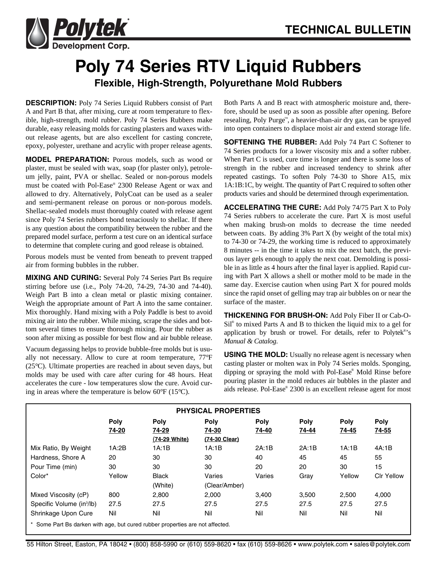

## **Poly 74 Series RTV Liquid Rubbers Flexible, High-Strength, Polyurethane Mold Rubbers**

**DESCRIPTION:** Poly 74 Series Liquid Rubbers consist of Part A and Part B that, after mixing, cure at room temperature to flexible, high-strength, mold rubber. Poly 74 Series Rubbers make durable, easy releasing molds for casting plasters and waxes without release agents, but are also excellent for casting concrete, epoxy, polyester, urethane and acrylic with proper release agents.

**MODEL PREPARATION:** Porous models, such as wood or plaster, must be sealed with wax, soap (for plaster only), petroleum jelly, paint, PVA or shellac. Sealed or non-porous models must be coated with Pol-Ease® 2300 Release Agent or wax and allowed to dry. Alternatively, PolyCoat can be used as a sealer and semi-permanent release on porous or non-porous models. Shellac-sealed models must thoroughly coated with release agent since Poly 74 Series rubbers bond tenaciously to shellac. If there is any question about the compatibility between the rubber and the prepared model surface, perform a test cure on an identical surface to determine that complete curing and good release is obtained.

Porous models must be vented from beneath to prevent trapped air from forming bubbles in the rubber.

**MIXING AND CURING:** Several Poly 74 Series Part Bs require stirring before use (i.e., Poly 74-20, 74-29, 74-30 and 74-40). Weigh Part B into a clean metal or plastic mixing container. Weigh the appropriate amount of Part A into the same container. Mix thoroughly. Hand mixing with a Poly Paddle is best to avoid mixing air into the rubber. While mixing, scrape the sides and bottom several times to ensure thorough mixing. Pour the rubber as soon after mixing as possible for best flow and air bubble release.

Vacuum degassing helps to provide bubble-free molds but is usually not necessary. Allow to cure at room temperature, 77°F (25°C). Ultimate properties are reached in about seven days, but molds may be used with care after curing for 48 hours. Heat accelerates the cure - low temperatures slow the cure. Avoid curing in areas where the temperature is below 60°F (15°C).

Both Parts A and B react with atmospheric moisture and, therefore, should be used up as soon as possible after opening. Before resealing, Poly Purge™, a heavier-than-air dry gas, can be sprayed into open containers to displace moist air and extend storage life.

**SOFTENING THE RUBBER:** Add Poly 74 Part C Softener to 74 Series products for a lower viscosity mix and a softer rubber. When Part C is used, cure time is longer and there is some loss of strength in the rubber and increased tendency to shrink after repeated castings. To soften Poly 74-30 to Shore A15, mix 1A:1B:1C, by weight. The quantity of Part C required to soften other products varies and should be determined through experimentation.

**ACCELERATING THE CURE:** Add Poly 74/75 Part X to Poly 74 Series rubbers to accelerate the cure. Part X is most useful when making brush-on molds to decrease the time needed between coats. By adding  $3\%$  Part X (by weight of the total mix) to 74-30 or 74-29, the working time is reduced to approximately 8 minutes -- in the time it takes to mix the next batch, the previous layer gels enough to apply the next coat. Demolding is possible in as little as 4 hours after the final layer is applied. Rapid curing with Part X allows a shell or mother mold to be made in the same day. Exercise caution when using Part X for poured molds since the rapid onset of gelling may trap air bubbles on or near the surface of the master.

**THICKENING FOR BRUSH-ON:** Add Poly Fiber II or Cab-O- $Si<sup>®</sup>$  to mixed Parts A and B to thicken the liquid mix to a gel for application by brush or trowel. For details, refer to Polytek®'s *Manual & Catalog*.

**USING THE MOLD:** Usually no release agent is necessary when casting plaster or molten wax in Poly 74 Series molds. Sponging, dipping or spraying the mold with Pol-Ease® Mold Rinse before pouring plaster in the mold reduces air bubbles in the plaster and aids release. Pol-Ease® 2300 is an excellent release agent for most

| <b>PHYSICAL PROPERTIES</b>                                                    |        |               |               |             |             |             |                   |  |  |  |  |
|-------------------------------------------------------------------------------|--------|---------------|---------------|-------------|-------------|-------------|-------------------|--|--|--|--|
|                                                                               | Poly   | <b>Poly</b>   | <b>Poly</b>   | <b>Poly</b> | <b>Poly</b> | <b>Poly</b> | <b>Poly</b>       |  |  |  |  |
|                                                                               | 74-20  | 74-29         | 74-30         | 74-40       | 74-44       | 74-45       | 74-55             |  |  |  |  |
|                                                                               |        | (74-29 White) | (74-30 Clear) |             |             |             |                   |  |  |  |  |
| Mix Ratio, By Weight                                                          | 1A:2B  | 1A:1B         | 1A:1B         | 2A:1B       | 2A:1B       | 1A:1B       | 4A:1B             |  |  |  |  |
| Hardness, Shore A                                                             | 20     | 30            | 30            | 40          | 45          | 45          | 55                |  |  |  |  |
| Pour Time (min)                                                               | 30     | 30            | 30            | 20          | 20          | 30          | 15                |  |  |  |  |
| Color*                                                                        | Yellow | <b>Black</b>  | Varies        | Varies      | Gray        | Yellow      | <b>CIr Yellow</b> |  |  |  |  |
|                                                                               |        | (White)       | (Clear/Amber) |             |             |             |                   |  |  |  |  |
| Mixed Viscosity (cP)                                                          | 800    | 2,800         | 2,000         | 3.400       | 3,500       | 2,500       | 4,000             |  |  |  |  |
| Specific Volume (in <sup>3</sup> /lb)                                         | 27.5   | 27.5          | 27.5          | 27.5        | 27.5        | 27.5        | 27.5              |  |  |  |  |
| Shrinkage Upon Cure                                                           | Nil    | Nil           | Nil           | Nil         | Nil         | Nil         | Nil               |  |  |  |  |
| * Some Part Bs darken with age, but cured rubber properties are not affected. |        |               |               |             |             |             |                   |  |  |  |  |

55 Hilton Street, Easton, PA 18042 • (800) 858-5990 or (610) 559-8620 • fax (610) 559-8626 • www.polytek.com • sales@polytek.com